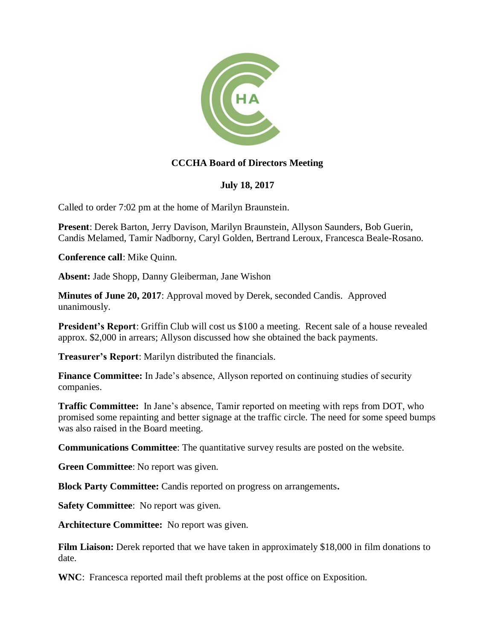

## **CCCHA Board of Directors Meeting**

## **July 18, 2017**

Called to order 7:02 pm at the home of Marilyn Braunstein.

**Present**: Derek Barton, Jerry Davison, Marilyn Braunstein, Allyson Saunders, Bob Guerin, Candis Melamed, Tamir Nadborny, Caryl Golden, Bertrand Leroux, Francesca Beale-Rosano.

**Conference call**: Mike Quinn.

**Absent:** Jade Shopp, Danny Gleiberman, Jane Wishon

**Minutes of June 20, 2017**: Approval moved by Derek, seconded Candis. Approved unanimously.

**President's Report:** Griffin Club will cost us \$100 a meeting. Recent sale of a house revealed approx. \$2,000 in arrears; Allyson discussed how she obtained the back payments.

**Treasurer's Report**: Marilyn distributed the financials.

**Finance Committee:** In Jade's absence, Allyson reported on continuing studies of security companies.

**Traffic Committee:** In Jane's absence, Tamir reported on meeting with reps from DOT, who promised some repainting and better signage at the traffic circle. The need for some speed bumps was also raised in the Board meeting.

**Communications Committee**: The quantitative survey results are posted on the website.

**Green Committee**: No report was given.

**Block Party Committee:** Candis reported on progress on arrangements**.**

**Safety Committee**: No report was given.

**Architecture Committee:** No report was given.

**Film Liaison:** Derek reported that we have taken in approximately \$18,000 in film donations to date.

**WNC**: Francesca reported mail theft problems at the post office on Exposition.